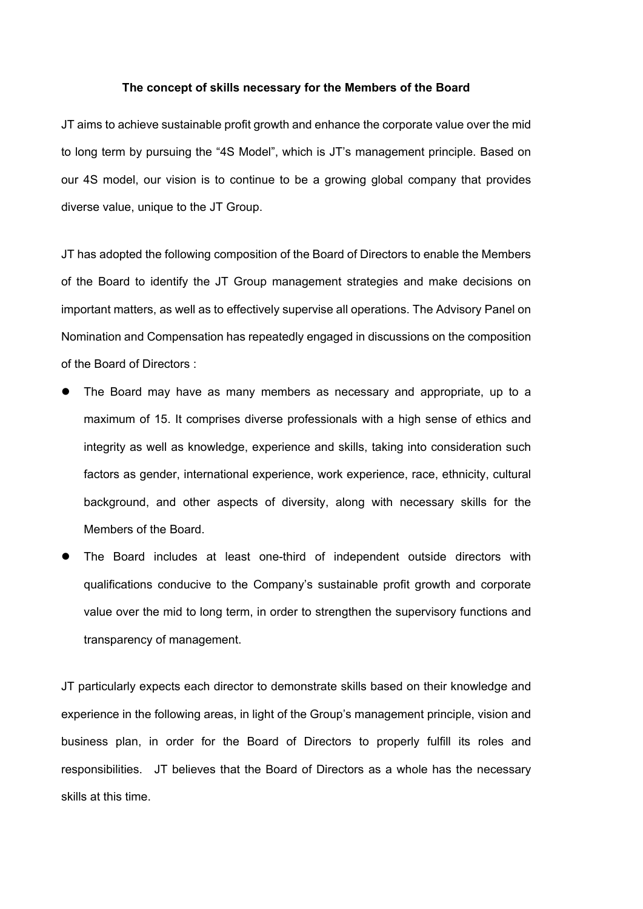## **The concept of skills necessary for the Members of the Board**

JT aims to achieve sustainable profit growth and enhance the corporate value over the mid to long term by pursuing the "4S Model", which is JT's management principle. Based on our 4S model, our vision is to continue to be a growing global company that provides diverse value, unique to the JT Group.

JT has adopted the following composition of the Board of Directors to enable the Members of the Board to identify the JT Group management strategies and make decisions on important matters, as well as to effectively supervise all operations. The Advisory Panel on Nomination and Compensation has repeatedly engaged in discussions on the composition of the Board of Directors :

- The Board may have as many members as necessary and appropriate, up to a maximum of 15. It comprises diverse professionals with a high sense of ethics and integrity as well as knowledge, experience and skills, taking into consideration such factors as gender, international experience, work experience, race, ethnicity, cultural background, and other aspects of diversity, along with necessary skills for the Members of the Board.
- The Board includes at least one-third of independent outside directors with qualifications conducive to the Company's sustainable profit growth and corporate value over the mid to long term, in order to strengthen the supervisory functions and transparency of management.

JT particularly expects each director to demonstrate skills based on their knowledge and experience in the following areas, in light of the Group's management principle, vision and business plan, in order for the Board of Directors to properly fulfill its roles and responsibilities. JT believes that the Board of Directors as a whole has the necessary skills at this time.